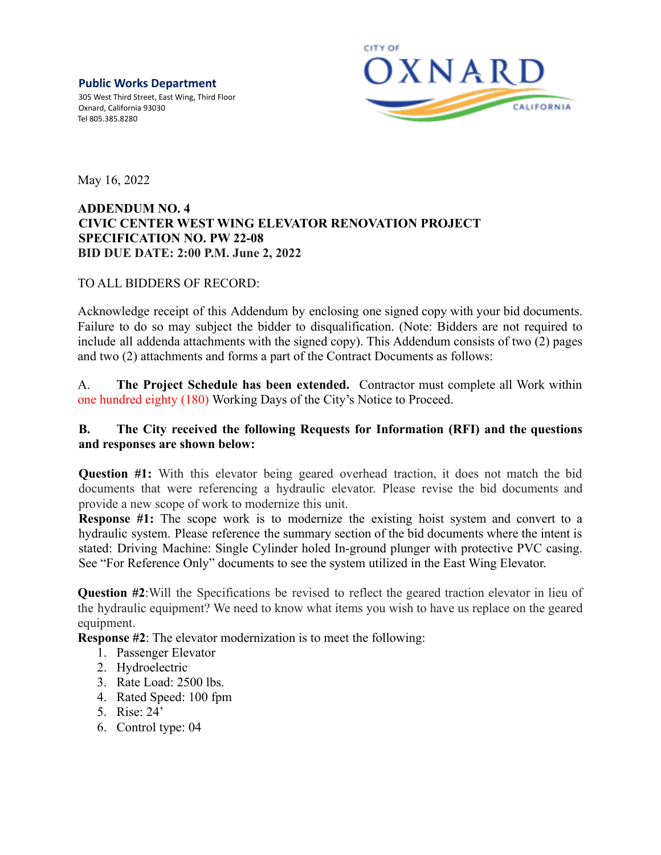**Public Works Department** 305 West Third Street, East Wing, Third Floor Oxnard, California 93030 Tel 805.385.8280



May 16, 2022

## **ADDENDUM NO. 4 CIVIC CENTER WEST WING ELEVATOR RENOVATION PROJECT SPECIFICATION NO. PW 22-08 BID DUE DATE: 2:00 P.M. June 2, 2022**

## TO ALL BIDDERS OF RECORD:

Acknowledge receipt of this Addendum by enclosing one signed copy with your bid documents. Failure to do so may subject the bidder to disqualification. (Note: Bidders are not required to include all addenda attachments with the signed copy). This Addendum consists of two (2) pages and two (2) attachments and forms a part of the Contract Documents as follows:

A. **The Project Schedule has been extended.** Contractor must complete all Work within one hundred eighty (180) Working Days of the City's Notice to Proceed.

## **B. The City received the following Requests for Information (RFI) and the questions and responses are shown below:**

**Question #1:** With this elevator being geared overhead traction, it does not match the bid documents that were referencing a hydraulic elevator. Please revise the bid documents and provide a new scope of work to modernize this unit.

**Response #1:** The scope work is to modernize the existing hoist system and convert to a hydraulic system. Please reference the summary section of the bid documents where the intent is stated: Driving Machine: Single Cylinder holed In-ground plunger with protective PVC casing. See "For Reference Only" documents to see the system utilized in the East Wing Elevator.

**Question #2**:Will the Specifications be revised to reflect the geared traction elevator in lieu of the hydraulic equipment? We need to know what items you wish to have us replace on the geared equipment.

**Response #2**: The elevator modernization is to meet the following:

- 1. Passenger Elevator
- 2. Hydroelectric
- 3. Rate Load: 2500 lbs.
- 4. Rated Speed: 100 fpm
- 5. Rise: 24'
- 6. Control type: 04